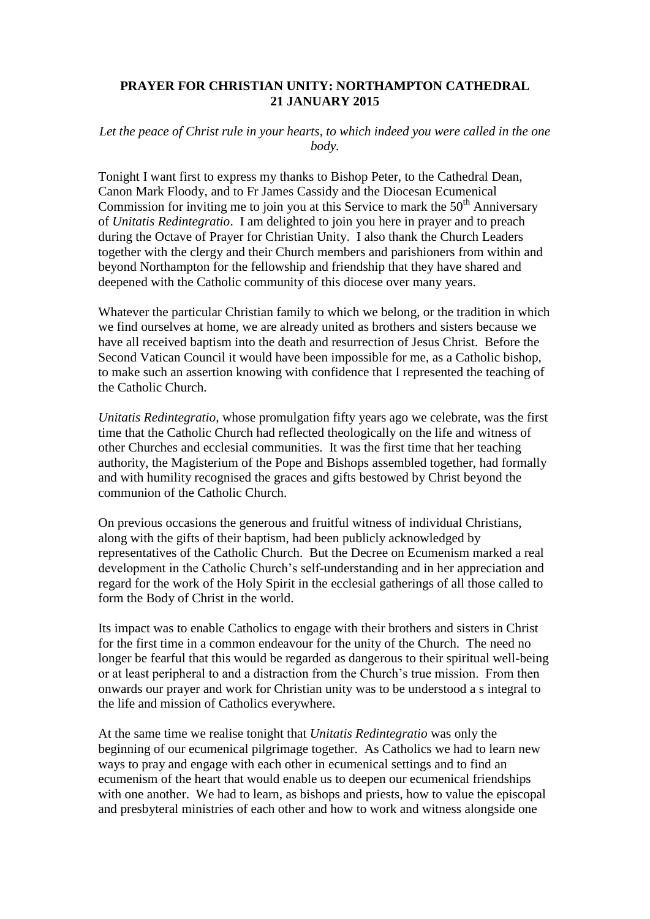## **PRAYER FOR CHRISTIAN UNITY: NORTHAMPTON CATHEDRAL 21 JANUARY 2015**

## Let the peace of Christ rule in your hearts, to which indeed you were called in the one *body.*

Tonight I want first to express my thanks to Bishop Peter, to the Cathedral Dean, Canon Mark Floody, and to Fr James Cassidy and the Diocesan Ecumenical Commission for inviting me to join you at this Service to mark the  $50<sup>th</sup>$  Anniversary of *Unitatis Redintegratio*. I am delighted to join you here in prayer and to preach during the Octave of Prayer for Christian Unity. I also thank the Church Leaders together with the clergy and their Church members and parishioners from within and beyond Northampton for the fellowship and friendship that they have shared and deepened with the Catholic community of this diocese over many years.

Whatever the particular Christian family to which we belong, or the tradition in which we find ourselves at home, we are already united as brothers and sisters because we have all received baptism into the death and resurrection of Jesus Christ. Before the Second Vatican Council it would have been impossible for me, as a Catholic bishop, to make such an assertion knowing with confidence that I represented the teaching of the Catholic Church.

*Unitatis Redintegratio*, whose promulgation fifty years ago we celebrate, was the first time that the Catholic Church had reflected theologically on the life and witness of other Churches and ecclesial communities. It was the first time that her teaching authority, the Magisterium of the Pope and Bishops assembled together, had formally and with humility recognised the graces and gifts bestowed by Christ beyond the communion of the Catholic Church.

On previous occasions the generous and fruitful witness of individual Christians, along with the gifts of their baptism, had been publicly acknowledged by representatives of the Catholic Church. But the Decree on Ecumenism marked a real development in the Catholic Church's self-understanding and in her appreciation and regard for the work of the Holy Spirit in the ecclesial gatherings of all those called to form the Body of Christ in the world.

Its impact was to enable Catholics to engage with their brothers and sisters in Christ for the first time in a common endeavour for the unity of the Church. The need no longer be fearful that this would be regarded as dangerous to their spiritual well-being or at least peripheral to and a distraction from the Church's true mission. From then onwards our prayer and work for Christian unity was to be understood a s integral to the life and mission of Catholics everywhere.

At the same time we realise tonight that *Unitatis Redintegratio* was only the beginning of our ecumenical pilgrimage together. As Catholics we had to learn new ways to pray and engage with each other in ecumenical settings and to find an ecumenism of the heart that would enable us to deepen our ecumenical friendships with one another. We had to learn, as bishops and priests, how to value the episcopal and presbyteral ministries of each other and how to work and witness alongside one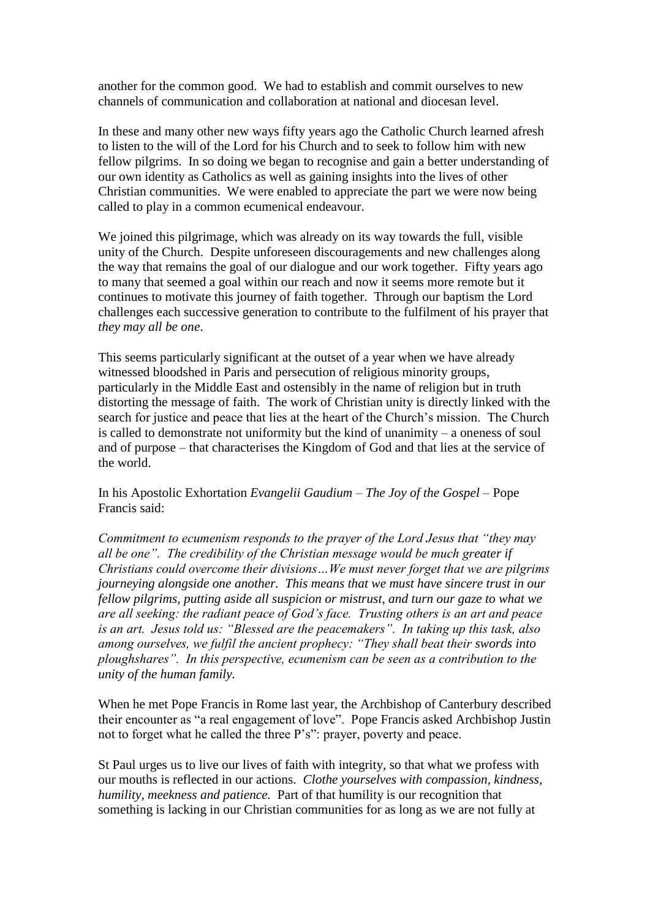another for the common good. We had to establish and commit ourselves to new channels of communication and collaboration at national and diocesan level.

In these and many other new ways fifty years ago the Catholic Church learned afresh to listen to the will of the Lord for his Church and to seek to follow him with new fellow pilgrims. In so doing we began to recognise and gain a better understanding of our own identity as Catholics as well as gaining insights into the lives of other Christian communities. We were enabled to appreciate the part we were now being called to play in a common ecumenical endeavour.

We joined this pilgrimage, which was already on its way towards the full, visible unity of the Church. Despite unforeseen discouragements and new challenges along the way that remains the goal of our dialogue and our work together. Fifty years ago to many that seemed a goal within our reach and now it seems more remote but it continues to motivate this journey of faith together. Through our baptism the Lord challenges each successive generation to contribute to the fulfilment of his prayer that *they may all be one*.

This seems particularly significant at the outset of a year when we have already witnessed bloodshed in Paris and persecution of religious minority groups, particularly in the Middle East and ostensibly in the name of religion but in truth distorting the message of faith. The work of Christian unity is directly linked with the search for justice and peace that lies at the heart of the Church's mission. The Church is called to demonstrate not uniformity but the kind of unanimity – a oneness of soul and of purpose – that characterises the Kingdom of God and that lies at the service of the world.

In his Apostolic Exhortation *Evangelii Gaudium – The Joy of the Gospel –* Pope Francis said:

*Commitment to ecumenism responds to the prayer of the Lord Jesus that "they may all be one". The credibility of the Christian message would be much greater if Christians could overcome their divisions…We must never forget that we are pilgrims journeying alongside one another. This means that we must have sincere trust in our fellow pilgrims, putting aside all suspicion or mistrust, and turn our gaze to what we are all seeking: the radiant peace of God's face. Trusting others is an art and peace is an art. Jesus told us: "Blessed are the peacemakers". In taking up this task, also among ourselves, we fulfil the ancient prophecy: "They shall beat their swords into ploughshares". In this perspective, ecumenism can be seen as a contribution to the unity of the human family.*

When he met Pope Francis in Rome last year, the Archbishop of Canterbury described their encounter as "a real engagement of love". Pope Francis asked Archbishop Justin not to forget what he called the three P's": prayer, poverty and peace.

St Paul urges us to live our lives of faith with integrity, so that what we profess with our mouths is reflected in our actions. *Clothe yourselves with compassion, kindness, humility, meekness and patience.* Part of that humility is our recognition that something is lacking in our Christian communities for as long as we are not fully at